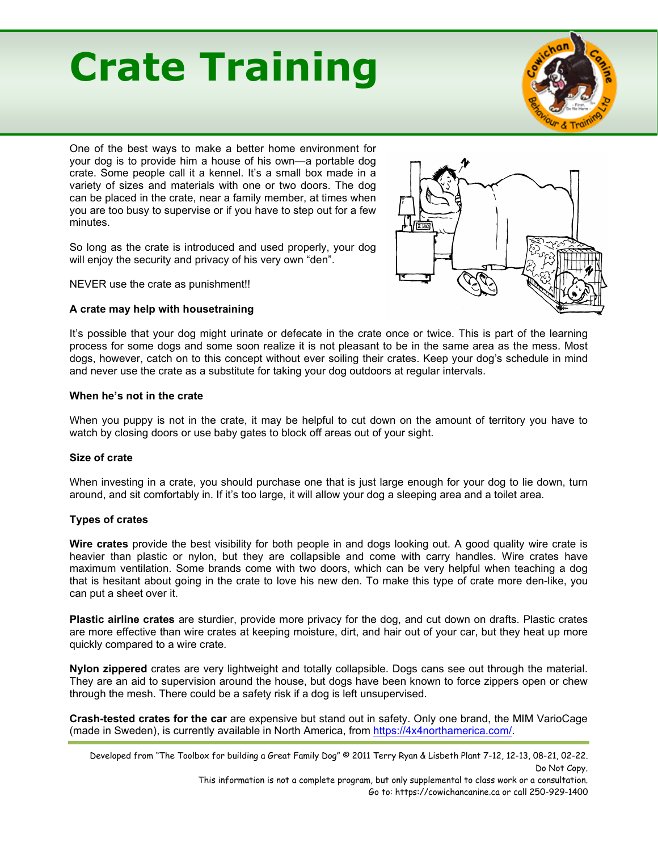# **Crate Training**



One of the best ways to make a better home environment for your dog is to provide him a house of his own—a portable dog crate. Some people call it a kennel. It's a small box made in a variety of sizes and materials with one or two doors. The dog can be placed in the crate, near a family member, at times when you are too busy to supervise or if you have to step out for a few minutes.

So long as the crate is introduced and used properly, your dog will enjoy the security and privacy of his very own "den".

NEVER use the crate as punishment!!

## **A crate may help with housetraining**



It's possible that your dog might urinate or defecate in the crate once or twice. This is part of the learning process for some dogs and some soon realize it is not pleasant to be in the same area as the mess. Most dogs, however, catch on to this concept without ever soiling their crates. Keep your dog's schedule in mind and never use the crate as a substitute for taking your dog outdoors at regular intervals.

## **When he's not in the crate**

When you puppy is not in the crate, it may be helpful to cut down on the amount of territory you have to watch by closing doors or use baby gates to block off areas out of your sight.

#### **Size of crate**

When investing in a crate, you should purchase one that is just large enough for your dog to lie down, turn around, and sit comfortably in. If it's too large, it will allow your dog a sleeping area and a toilet area.

# **Types of crates**

**Wire crates** provide the best visibility for both people in and dogs looking out. A good quality wire crate is heavier than plastic or nylon, but they are collapsible and come with carry handles. Wire crates have maximum ventilation. Some brands come with two doors, which can be very helpful when teaching a dog that is hesitant about going in the crate to love his new den. To make this type of crate more den-like, you can put a sheet over it.

**Plastic airline crates** are sturdier, provide more privacy for the dog, and cut down on drafts. Plastic crates are more effective than wire crates at keeping moisture, dirt, and hair out of your car, but they heat up more quickly compared to a wire crate.

**Nylon zippered** crates are very lightweight and totally collapsible. Dogs cans see out through the material. They are an aid to supervision around the house, but dogs have been known to force zippers open or chew through the mesh. There could be a safety risk if a dog is left unsupervised.

**Crash-tested crates for the car** are expensive but stand out in safety. Only one brand, the MIM VarioCage (made in Sweden), is currently available in North America, from [https://4x4northamerica.com/.](https://4x4northamerica.com/)

This information is not a complete program, but only supplemental to class work or a consultation. Go to: https://cowichancanine.ca or call 250-929-1400

Developed from "The Toolbox for building a Great Family Dog" © 2011 Terry Ryan & Lisbeth Plant 7-12, 12-13, 08-21, 02-22. Do Not Copy.